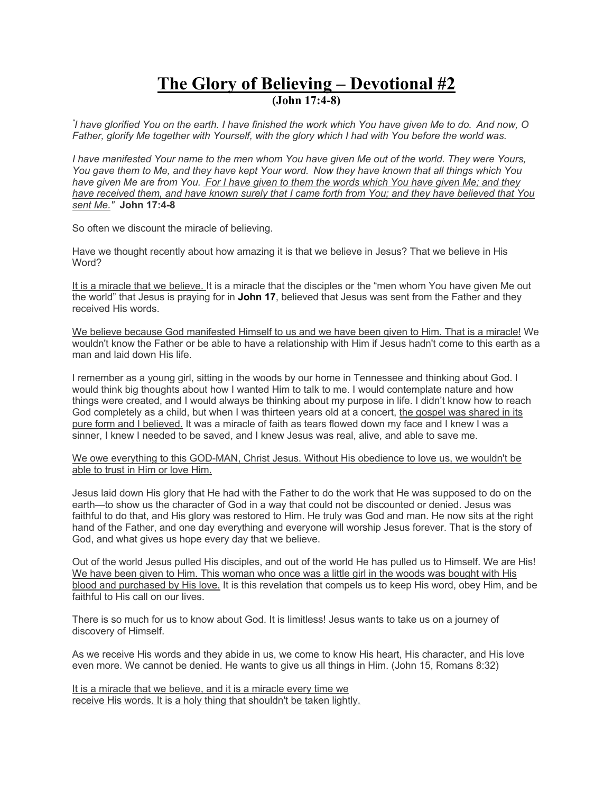## **The Glory of Believing – Devotional #2 (John 17:4-8)**

*" I have glorified You on the earth. I have finished the work which You have given Me to do. And now, O Father, glorify Me together with Yourself, with the glory which I had with You before the world was.*

*I have manifested Your name to the men whom You have given Me out of the world. They were Yours, You gave them to Me, and they have kept Your word. Now they have known that all things which You have given Me are from You. For I have given to them the words which You have given Me; and they have received them, and have known surely that I came forth from You; and they have believed that You sent Me."* **John 17:4-8**

So often we discount the miracle of believing.

Have we thought recently about how amazing it is that we believe in Jesus? That we believe in His Word?

It is a miracle that we believe. It is a miracle that the disciples or the "men whom You have given Me out the world" that Jesus is praying for in **John 17**, believed that Jesus was sent from the Father and they received His words.

We believe because God manifested Himself to us and we have been given to Him. That is a miracle! We wouldn't know the Father or be able to have a relationship with Him if Jesus hadn't come to this earth as a man and laid down His life.

I remember as a young girl, sitting in the woods by our home in Tennessee and thinking about God. I would think big thoughts about how I wanted Him to talk to me. I would contemplate nature and how things were created, and I would always be thinking about my purpose in life. I didn't know how to reach God completely as a child, but when I was thirteen years old at a concert, the gospel was shared in its pure form and I believed. It was a miracle of faith as tears flowed down my face and I knew I was a sinner, I knew I needed to be saved, and I knew Jesus was real, alive, and able to save me.

We owe everything to this GOD-MAN, Christ Jesus. Without His obedience to love us, we wouldn't be able to trust in Him or love Him.

Jesus laid down His glory that He had with the Father to do the work that He was supposed to do on the earth—to show us the character of God in a way that could not be discounted or denied. Jesus was faithful to do that, and His glory was restored to Him. He truly was God and man. He now sits at the right hand of the Father, and one day everything and everyone will worship Jesus forever. That is the story of God, and what gives us hope every day that we believe.

Out of the world Jesus pulled His disciples, and out of the world He has pulled us to Himself. We are His! We have been given to Him. This woman who once was a little girl in the woods was bought with His blood and purchased by His love. It is this revelation that compels us to keep His word, obey Him, and be faithful to His call on our lives.

There is so much for us to know about God. It is limitless! Jesus wants to take us on a journey of discovery of Himself.

As we receive His words and they abide in us, we come to know His heart, His character, and His love even more. We cannot be denied. He wants to give us all things in Him. (John 15, Romans 8:32)

It is a miracle that we believe, and it is a miracle every time we receive His words. It is a holy thing that shouldn't be taken lightly.